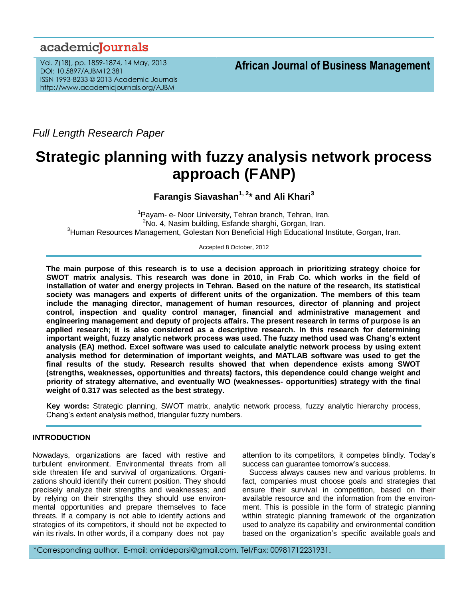# academicJournals

Vol. 7(18), pp. 1859-1874, 14 May, 2013 DOI: 10.5897/AJBM12.381 ISSN 1993-8233 © 2013 Academic Journals http://www.academicjournals.org/AJBM

**African Journal of Business Management**

*Full Length Research Paper*

# **Strategic planning with fuzzy analysis network process approach (FANP)**

**Farangis Siavashan1, 2\* and Ali Khari<sup>3</sup>**

<sup>1</sup>Payam- e- Noor University, Tehran branch, Tehran, Iran.  $2$ No. 4, Nasim building, Esfande sharghi, Gorgan, Iran. <sup>3</sup>Human Resources Management, Golestan Non Beneficial High Educational Institute, Gorgan, Iran.

Accepted 8 October, 2012

**The main purpose of this research is to use a decision approach in prioritizing strategy choice for SWOT matrix analysis. This research was done in 2010, in Frab Co. which works in the field of installation of water and energy projects in Tehran. Based on the nature of the research, its statistical society was managers and experts of different units of the organization. The members of this team include the managing director, management of human resources, director of planning and project control, inspection and quality control manager, financial and administrative management and engineering management and deputy of projects affairs. The present research in terms of purpose is an applied research; it is also considered as a descriptive research. In this research for determining important weight, fuzzy analytic network process was used. The fuzzy method used was Chang's extent analysis (EA) method. Excel software was used to calculate analytic network process by using extent analysis method for determination of important weights, and MATLAB software was used to get the final results of the study. Research results showed that when dependence exists among SWOT (strengths, weaknesses, opportunities and threats) factors, this dependence could change weight and priority of strategy alternative, and eventually WO (weaknesses- opportunities) strategy with the final weight of 0.317 was selected as the best strategy.**

**Key words:** Strategic planning, SWOT matrix, analytic network process, fuzzy analytic hierarchy process, Chang's extent analysis method, triangular fuzzy numbers.

# **INTRODUCTION**

Nowadays, organizations are faced with restive and turbulent environment. Environmental threats from all side threaten life and survival of organizations. Organizations should identify their current position. They should precisely analyze their strengths and weaknesses; and by relying on their strengths they should use environmental opportunities and prepare themselves to face threats. If a company is not able to identify actions and strategies of its competitors, it should not be expected to win its rivals. In other words, if a company does not pay

attention to its competitors, it competes blindly. Today's success can guarantee tomorrow's success.

Success always causes new and various problems. In fact, companies must choose goals and strategies that ensure their survival in competition, based on their available resource and the information from the environment. This is possible in the form of strategic planning within strategic planning framework of the organization used to analyze its capability and environmental condition based on the organization's specific available goals and

\*Corresponding author. E-mail: omideparsi@gmail.com. Tel/Fax: 00981712231931.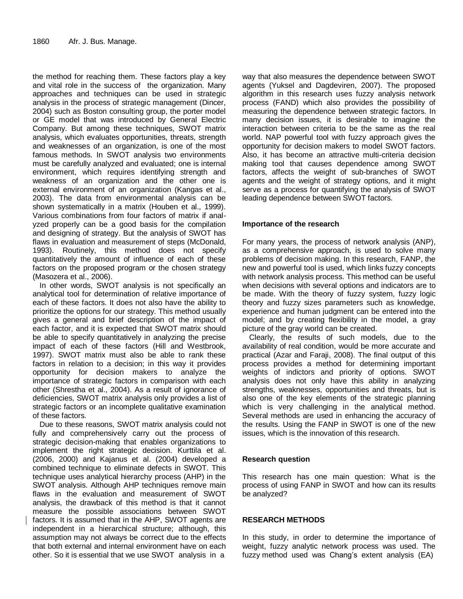the method for reaching them. These factors play a key and vital role in the success of the organization. Many approaches and techniques can be used in strategic analysis in the process of strategic management (Dincer, 2004) such as Boston consulting group, the porter model or GE model that was introduced by General Electric Company. But among these techniques, SWOT matrix analysis, which evaluates opportunities, threats, strength and weaknesses of an organization, is one of the most famous methods. In SWOT analysis two environments must be carefully analyzed and evaluated; one is internal environment, which requires identifying strength and weakness of an organization and the other one is external environment of an organization (Kangas et al., 2003). The data from environmental analysis can be shown systematically in a matrix (Houben et al., 1999). Various combinations from four factors of matrix if analyzed properly can be a good basis for the compilation and designing of strategy. But the analysis of SWOT has flaws in evaluation and measurement of steps (McDonald, 1993). Routinely, this method does not specify quantitatively the amount of influence of each of these factors on the proposed program or the chosen strategy (Masozera et al., 2006).

In other words, SWOT analysis is not specifically an analytical tool for determination of relative importance of each of these factors. It does not also have the ability to prioritize the options for our strategy. This method usually gives a general and brief description of the impact of each factor, and it is expected that SWOT matrix should be able to specify quantitatively in analyzing the precise impact of each of these factors (Hill and Westbrook, 1997). SWOT matrix must also be able to rank these factors in relation to a decision; in this way it provides opportunity for decision makers to analyze the importance of strategic factors in comparison with each other (Shrestha et al., 2004). As a result of ignorance of deficiencies, SWOT matrix analysis only provides a list of strategic factors or an incomplete qualitative examination of these factors.

Due to these reasons, SWOT matrix analysis could not fully and comprehensively carry out the process of strategic decision-making that enables organizations to implement the right strategic decision. Kurttila et al. (2006, 2000) and Kajanus et al. (2004) developed a combined technique to eliminate defects in SWOT. This technique uses analytical hierarchy process (AHP) in the SWOT analysis. Although AHP techniques remove main flaws in the evaluation and measurement of SWOT analysis, the drawback of this method is that it cannot measure the possible associations between SWOT factors. It is assumed that in the AHP, SWOT agents are independent in a hierarchical structure; although, this assumption may not always be correct due to the effects that both external and internal environment have on each other. So it is essential that we use SWOT analysis in a

way that also measures the dependence between SWOT agents (Yuksel and Dagdeviren, 2007). The proposed algorithm in this research uses fuzzy analysis network process (FAND) which also provides the possibility of measuring the dependence between strategic factors. In many decision issues, it is desirable to imagine the interaction between criteria to be the same as the real world. NAP powerful tool with fuzzy approach gives the opportunity for decision makers to model SWOT factors. Also, it has become an attractive multi-criteria decision making tool that causes dependence among SWOT factors, affects the weight of sub-branches of SWOT agents and the weight of strategy options, and it might serve as a process for quantifying the analysis of SWOT leading dependence between SWOT factors.

# **Importance of the research**

For many years, the process of network analysis (ANP), as a comprehensive approach, is used to solve many problems of decision making. In this research, FANP, the new and powerful tool is used, which links fuzzy concepts with network analysis process. This method can be useful when decisions with several options and indicators are to be made. With the theory of fuzzy system, fuzzy logic theory and fuzzy sizes parameters such as knowledge, experience and human judgment can be entered into the model; and by creating flexibility in the model, a gray picture of the gray world can be created.

Clearly, the results of such models, due to the availability of real condition, would be more accurate and practical (Azar and Faraji, 2008). The final output of this process provides a method for determining important weights of indictors and priority of options. SWOT analysis does not only have this ability in analyzing strengths, weaknesses, opportunities and threats, but is also one of the key elements of the strategic planning which is very challenging in the analytical method. Several methods are used in enhancing the accuracy of the results. Using the FANP in SWOT is one of the new issues, which is the innovation of this research.

# **Research question**

This research has one main question: What is the process of using FANP in SWOT and how can its results be analyzed?

# **RESEARCH METHODS**

In this study, in order to determine the importance of weight, fuzzy analytic network process was used. The fuzzy method used was Chang's extent analysis (EA)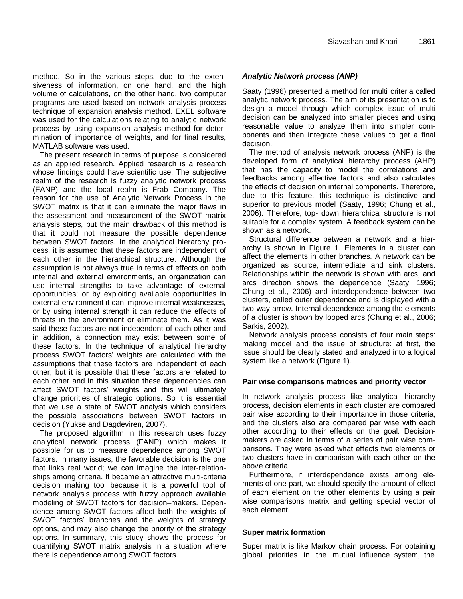method. So in the various steps, due to the extensiveness of information, on one hand, and the high volume of calculations, on the other hand, two computer programs are used based on network analysis process technique of expansion analysis method. EXEL software was used for the calculations relating to analytic network process by using expansion analysis method for determination of importance of weights, and for final results, MATLAB software was used.

The present research in terms of purpose is considered as an applied research. Applied research is a research whose findings could have scientific use. The subjective realm of the research is fuzzy analytic network process (FANP) and the local realm is Frab Company. The reason for the use of Analytic Network Process in the SWOT matrix is that it can eliminate the major flaws in the assessment and measurement of the SWOT matrix analysis steps, but the main drawback of this method is that it could not measure the possible dependence between SWOT factors. In the analytical hierarchy process, it is assumed that these factors are independent of each other in the hierarchical structure. Although the assumption is not always true in terms of effects on both internal and external environments, an organization can use internal strengths to take advantage of external opportunities; or by exploiting available opportunities in external environment it can improve internal weaknesses, or by using internal strength it can reduce the effects of threats in the environment or eliminate them. As it was said these factors are not independent of each other and in addition, a connection may exist between some of these factors. In the technique of analytical hierarchy process SWOT factors' weights are calculated with the assumptions that these factors are independent of each other; but it is possible that these factors are related to each other and in this situation these dependencies can affect SWOT factors' weights and this will ultimately change priorities of strategic options. So it is essential that we use a state of SWOT analysis which considers the possible associations between SWOT factors in decision (Yukse and Dagdeviren, 2007).

The proposed algorithm in this research uses fuzzy analytical network process (FANP) which makes it possible for us to measure dependence among SWOT factors. In many issues, the favorable decision is the one that links real world; we can imagine the inter-relationships among criteria. It became an attractive multi-criteria decision making tool because it is a powerful tool of network analysis process with fuzzy approach available modeling of SWOT factors for decision–makers. Dependence among SWOT factors affect both the weights of SWOT factors' branches and the weights of strategy options, and may also change the priority of the strategy options. In summary, this study shows the process for quantifying SWOT matrix analysis in a situation where there is dependence among SWOT factors.

# *Analytic Network process (ANP)*

Saaty (1996) presented a method for multi criteria called analytic network process. The aim of its presentation is to design a model through which complex issue of multi decision can be analyzed into smaller pieces and using reasonable value to analyze them into simpler components and then integrate these values to get a final decision.

The method of analysis network process (ANP) is the developed form of analytical hierarchy process (AHP) that has the capacity to model the correlations and feedbacks among effective factors and also calculates the effects of decision on internal components. Therefore, due to this feature, this technique is distinctive and superior to previous model (Saaty, 1996; Chung et al., 2006). Therefore, top- down hierarchical structure is not suitable for a complex system. A feedback system can be shown as a network.

Structural difference between a network and a hierarchy is shown in Figure 1. Elements in a cluster can affect the elements in other branches. A network can be organized as source, intermediate and sink clusters. Relationships within the network is shown with arcs, and arcs direction shows the dependence (Saaty, 1996; Chung et al., 2006) and interdependence between two clusters, called outer dependence and is displayed with a two-way arrow. Internal dependence among the elements of a cluster is shown by looped arcs (Chung et al., 2006; Sarkis, 2002).

Network analysis process consists of four main steps: making model and the issue of structure: at first, the issue should be clearly stated and analyzed into a logical system like a network (Figure 1).

#### **Pair wise comparisons matrices and priority vector**

In network analysis process like analytical hierarchy process, decision elements in each cluster are compared pair wise according to their importance in those criteria, and the clusters also are compared par wise with each other according to their effects on the goal. Decisionmakers are asked in terms of a series of pair wise comparisons. They were asked what effects two elements or two clusters have in comparison with each other on the above criteria.

Furthermore, if interdependence exists among elements of one part, we should specify the amount of effect of each element on the other elements by using a pair wise comparisons matrix and getting special vector of each element.

#### **Super matrix formation**

Super matrix is like Markov chain process. For obtaining global priorities in the mutual influence system, the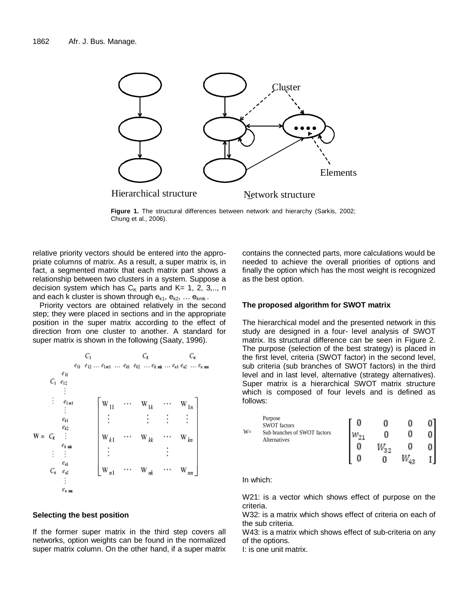

**Figure 1.** The structural differences between network and hierarchy (Sarkis, 2002; Chung et al., 2006).

relative priority vectors should be entered into the appropriate columns of matrix. As a result, a super matrix is, in fact, a segmented matrix that each matrix part shows a relationship between two clusters in a system. Suppose a decision system which has  $C_K$  parts and K= 1, 2, 3,.., n and each k cluster is shown through  $e_{k1}$ ,  $e_{k2}$ , ...  $e_{kmk}$ .

Priority vectors are obtained relatively in the second step; they were placed in sections and in the appropriate position in the super matrix according to the effect of direction from one cluster to another. A standard for super matrix is shown in the following (Saaty, 1996).



#### **Selecting the best position**

If the former super matrix in the third step covers all networks, option weights can be found in the normalized super matrix column. On the other hand, if a super matrix contains the connected parts, more calculations would be needed to achieve the overall priorities of options and finally the option which has the most weight is recognized as the best option.

#### **The proposed algorithm for SWOT matrix**

The hierarchical model and the presented network in this study are designed in a four- level analysis of SWOT matrix. Its structural difference can be seen in Figure 2. The purpose (selection of the best strategy) is placed in the first level, criteria (SWOT factor) in the second level, sub criteria (sub branches of SWOT factors) in the third level and in last level, alternative (strategy alternatives). Super matrix is a hierarchical SWOT matrix structure which is composed of four levels and is defined as follows:

| $W=$ | Purpose<br><b>SWOT</b> factors<br>Sub branches of SWOT factors<br>Alternatives |  |  |  |  |
|------|--------------------------------------------------------------------------------|--|--|--|--|
|------|--------------------------------------------------------------------------------|--|--|--|--|

In which:

W21: is a vector which shows effect of purpose on the criteria.

W32: is a matrix which shows effect of criteria on each of the sub criteria.

W43: is a matrix which shows effect of sub-criteria on any of the options.

I: is one unit matrix.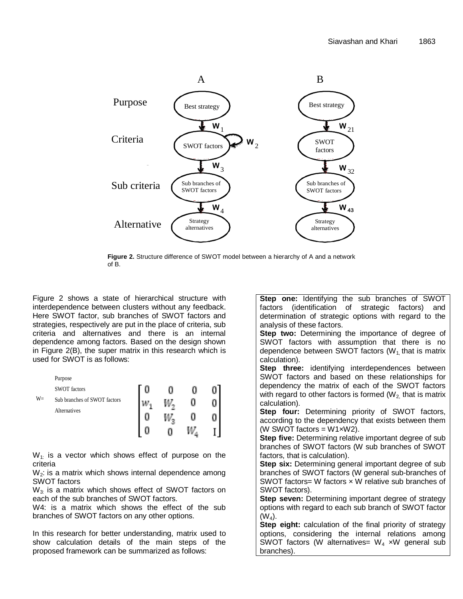

**Figure 2.** Structure difference of SWOT model between a hierarchy of A and a network of B.

Figure 2 shows a state of hierarchical structure with interdependence between clusters without any feedback. Here SWOT factor, sub branches of SWOT factors and strategies, respectively are put in the place of criteria, sub criteria and alternatives and there is an internal dependence among factors. Based on the design shown in Figure 2(B), the super matrix in this research which is used for SWOT is as follows:

|      | Purpose                      |  |  |
|------|------------------------------|--|--|
|      | <b>SWOT</b> factors          |  |  |
| $W=$ | Sub branches of SWOT factors |  |  |
|      | Alternatives                 |  |  |
|      |                              |  |  |

 $W_1$  is a vector which shows effect of purpose on the criteria

 $W_2$ : is a matrix which shows internal dependence among SWOT factors

 $W_{3:}$  is a matrix which shows effect of SWOT factors on each of the sub branches of SWOT factors.

W4: is a matrix which shows the effect of the sub branches of SWOT factors on any other options.

In this research for better understanding, matrix used to show calculation details of the main steps of the proposed framework can be summarized as follows:

**Step one:** Identifying the sub branches of SWOT factors (identification of strategic factors) and determination of strategic options with regard to the analysis of these factors.

**Step two:** Determining the importance of degree of SWOT factors with assumption that there is no dependence between SWOT factors  $(W_1)$  that is matrix calculation).

**Step three:** identifying interdependences between SWOT factors and based on these relationships for dependency the matrix of each of the SWOT factors with regard to other factors is formed  $(W_2, Y)$  that is matrix calculation).

**Step four:** Determining priority of SWOT factors, according to the dependency that exists between them (W SWOT factors =  $W1xW2$ ).

**Step five:** Determining relative important degree of sub branches of SWOT factors (W sub branches of SWOT factors, that is calculation).

**Step six:** Determining general important degree of sub branches of SWOT factors (W general sub-branches of SWOT factors= W factors x W relative sub branches of SWOT factors).

**Step seven:** Determining important degree of strategy options with regard to each sub branch of SWOT factor  $(W_4)$ .

**Step eight:** calculation of the final priority of strategy options, considering the internal relations among SWOT factors (W alternatives=  $W_4$  xW general sub branches).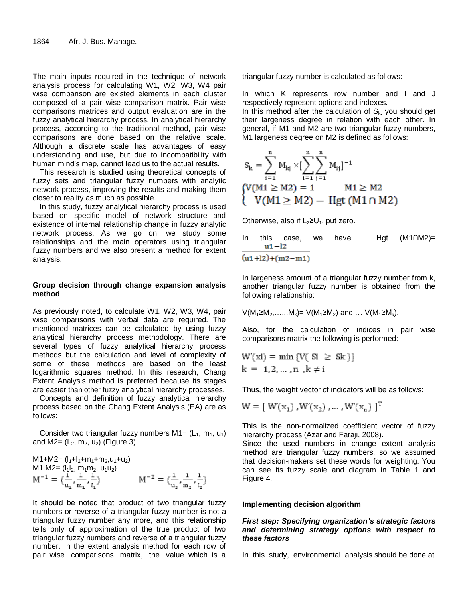The main inputs required in the technique of network analysis process for calculating W1, W2, W3, W4 pair wise comparison are existed elements in each cluster composed of a pair wise comparison matrix. Pair wise comparisons matrices and output evaluation are in the fuzzy analytical hierarchy process. In analytical hierarchy process, according to the traditional method, pair wise comparisons are done based on the relative scale. Although a discrete scale has advantages of easy understanding and use, but due to incompatibility with human mind's map, cannot lead us to the actual results.

This research is studied using theoretical concepts of fuzzy sets and triangular fuzzy numbers with analytic network process, improving the results and making them closer to reality as much as possible.

In this study, fuzzy analytical hierarchy process is used based on specific model of network structure and existence of internal relationship change in fuzzy analytic network process. As we go on, we study some relationships and the main operators using triangular fuzzy numbers and we also present a method for extent analysis.

#### **Group decision through change expansion analysis method**

As previously noted, to calculate W1, W2, W3, W4, pair wise comparisons with verbal data are required. The mentioned matrices can be calculated by using fuzzy analytical hierarchy process methodology. There are several types of fuzzy analytical hierarchy process methods but the calculation and level of complexity of some of these methods are based on the least logarithmic squares method. In this research, Chang Extent Analysis method is preferred because its stages are easier than other fuzzy analytical hierarchy processes.

Concepts and definition of fuzzy analytical hierarchy process based on the Chang Extent Analysis (EA) are as follows:

Consider two triangular fuzzy numbers  $M1 = (L_1, m_1, u_1)$ and M2=  $(L_2, m_2, u_2)$  (Figure 3)

M1+M2= (l<sub>1</sub>+l<sub>2</sub>+m<sub>1</sub>+m<sub>2</sub>,u<sub>1</sub>+u<sub>2</sub>)  
\nM1.M2= (l<sub>1</sub>l<sub>2</sub>, m<sub>1</sub>m<sub>2</sub>, u<sub>1</sub>u<sub>2</sub>)  
\nM<sup>-1</sup> = 
$$
(\frac{1}{u_1}, \frac{1}{m_1}, \frac{1}{l_1})
$$
  $M^{-2} = (\frac{1}{u_2}, \frac{1}{m_2}, \frac{1}{l_2})$ 

It should be noted that product of two triangular fuzzy numbers or reverse of a triangular fuzzy number is not a triangular fuzzy number any more, and this relationship tells only of approximation of the true product of two triangular fuzzy numbers and reverse of a triangular fuzzy number. In the extent analysis method for each row of pair wise comparisons matrix, the value which is a triangular fuzzy number is calculated as follows:

In which K represents row number and I and J respectively represent options and indexes.

In this method after the calculation of  $S_{k}$  you should get their largeness degree in relation with each other. In general, if M1 and M2 are two triangular fuzzy numbers, M1 largeness degree on M2 is defined as follows:

$$
\begin{array}{l} s_k=\sum\limits_{i=1}^{n} {{M_{kj}}} \times [\sum\limits_{i=1}^{n}\sum\limits_{j=1}^{n} {{M_{ij}}} ]^{-1} \\ \left\{ V(M1\ge M2)=1 \right. \qquad \ \ M1\ge M2 \\ \left\{ \begin{array}{l} V(M1\ge M2)=\text { Hgt } (M1\cap M2) \end{array} \right. \end{array}
$$

Otherwise, also if  $L_2 \geq U_1$ , put zero.

| In | $u1 - 12$ | this case.        | we | have: | Hgt $(M1 \cap M2)$ = |
|----|-----------|-------------------|----|-------|----------------------|
|    |           | $(u1+12)+(m2-m1)$ |    |       |                      |

In largeness amount of a triangular fuzzy number from k, another triangular fuzzy number is obtained from the following relationship:

$$
V(M_1 \ge M_2, \ldots, M_k) = V(M_1 \ge M_2)
$$
 and ...  $V(M_1 \ge M_k)$ .

Also, for the calculation of indices in pair wise comparisons matrix the following is performed:

$$
W'(\text{xi}) = \min \{ V(\text{Si} \ge \text{Sk}) \}
$$
  
k = 1, 2, ..., n, k \ne i

Thus, the weight vector of indicators will be as follows:

$$
W = [ W'(x_1), W'(x_2), ..., W'(x_n) ]^T
$$

This is the non-normalized coefficient vector of fuzzy hierarchy process (Azar and Faraji, 2008).

Since the used numbers in change extent analysis method are triangular fuzzy numbers, so we assumed that decision-makers set these words for weighting. You can see its fuzzy scale and diagram in Table 1 and Figure 4.

#### **Implementing decision algorithm**

### *First step: Specifying organization's strategic factors and determining strategy options with respect to these factors*

In this study, environmental analysis should be done at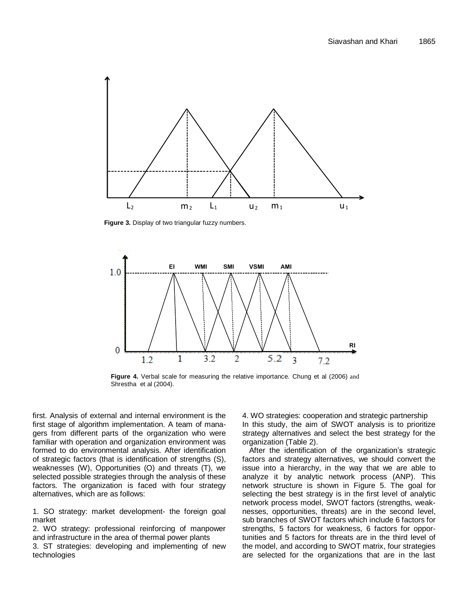

**Figure 3.** Display of two triangular fuzzy numbers.



**Figure 4.** Verbal scale for measuring the relative importance. Chung et al (2006) and Shrestha et al (2004).

first. Analysis of external and internal environment is the first stage of algorithm implementation. A team of managers from different parts of the organization who were familiar with operation and organization environment was formed to do environmental analysis. After identification of strategic factors (that is identification of strengths (S), weaknesses (W), Opportunities (O) and threats (T), we selected possible strategies through the analysis of these factors. The organization is faced with four strategy alternatives, which are as follows:

1. SO strategy: market development- the foreign goal market

2. WO strategy: professional reinforcing of manpower and infrastructure in the area of thermal power plants

3. ST strategies: developing and implementing of new technologies

4. WO strategies: cooperation and strategic partnership In this study, the aim of SWOT analysis is to prioritize strategy alternatives and select the best strategy for the organization (Table 2).

After the identification of the organization's strategic factors and strategy alternatives, we should convert the issue into a hierarchy, in the way that we are able to analyze it by analytic network process (ANP). This network structure is shown in Figure 5. The goal for selecting the best strategy is in the first level of analytic network process model, SWOT factors (strengths, weaknesses, opportunities, threats) are in the second level, sub branches of SWOT factors which include 6 factors for strengths, 5 factors for weakness, 6 factors for opportunities and 5 factors for threats are in the third level of the model, and according to SWOT matrix, four strategies are selected for the organizations that are in the last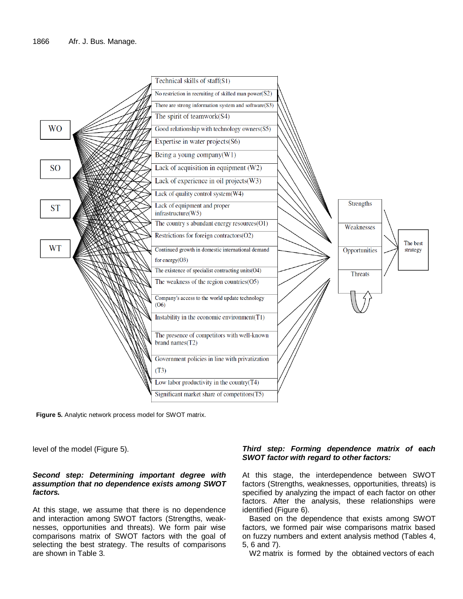

**Figure 5.** Analytic network process model for SWOT matrix.

level of the model (Figure 5).

#### *Second step: Determining important degree with assumption that no dependence exists among SWOT factors.*

At this stage, we assume that there is no dependence and interaction among SWOT factors (Strengths, weaknesses, opportunities and threats). We form pair wise comparisons matrix of SWOT factors with the goal of selecting the best strategy. The results of comparisons are shown in Table 3.

#### *Third step: Forming dependence matrix of each SWOT factor with regard to other factors:*

At this stage, the interdependence between SWOT factors (Strengths, weaknesses, opportunities, threats) is specified by analyzing the impact of each factor on other factors. After the analysis, these relationships were identified (Figure 6).

Based on the dependence that exists among SWOT factors, we formed pair wise comparisons matrix based on fuzzy numbers and extent analysis method (Tables 4, 5, 6 and 7).

W2 matrix is formed by the obtained vectors of each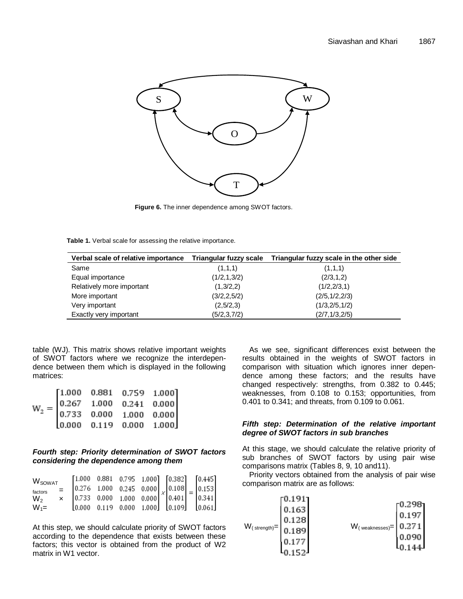

**Figure 6.** The inner dependence among SWOT factors.

**Table 1.** Verbal scale for assessing the relative importance.

| Verbal scale of relative importance | Triangular fuzzy scale | Triangular fuzzy scale in the other side |
|-------------------------------------|------------------------|------------------------------------------|
| Same                                | (1,1,1)                | (1,1,1)                                  |
| Equal importance                    | (1/2, 1, 3/2)          | (2/3, 1, 2)                              |
| Relatively more important           | (1,3/2,2)              | (1/2, 2/3, 1)                            |
| More important                      | (3/2, 2, 5/2)          | (2/5, 1/2, 2/3)                          |
| Very important                      | (2,5/2,3)              | (1/3, 2/5, 1/2)                          |
| Exactly very important              | (5/2,3,7/2)            | (2/7, 1/3, 2/5)                          |

table (WJ). This matrix shows relative important weights of SWOT factors where we recognize the interdependence between them which is displayed in the following matrices:

|  | $\begin{bmatrix} 1.000 & 0.881 & 0.759 & 1.000 \end{bmatrix}$                                        |  |  |
|--|------------------------------------------------------------------------------------------------------|--|--|
|  | $W_2 = \begin{bmatrix} 0.267 & 1.000 & 0.241 & 0.000 \\ 0.733 & 0.000 & 1.000 & 0.000 \end{bmatrix}$ |  |  |
|  |                                                                                                      |  |  |
|  | $[0.000 \t 0.119 \t 0.000 \t 1.000]$                                                                 |  |  |

### *Fourth step: Priority determination of SWOT factors considering the dependence among them*

| W <sub>SOWAT</sub> | $\begin{bmatrix} 1.000 & 0.881 & 0.795 & 1.000 \\ 0.276 & 1.000 & 0.245 & 0.000 \\ 0.733 & 0.000 & 1.000 & 0.000 \\ 0.000 & 0.119 & 0.000 & 1.000 \end{bmatrix} \times \begin{bmatrix} 0.382 \\ 0.108 \\ 0.401 \\ 0.109 \end{bmatrix} = \begin{bmatrix} 0.445 \\ 0.153 \\ 0.341 \\ 0.061 \end{bmatrix}$ |  |  |  |  |
|--------------------|---------------------------------------------------------------------------------------------------------------------------------------------------------------------------------------------------------------------------------------------------------------------------------------------------------|--|--|--|--|
| factors            |                                                                                                                                                                                                                                                                                                         |  |  |  |  |
| $W_2$              |                                                                                                                                                                                                                                                                                                         |  |  |  |  |
| $W_1 =$            |                                                                                                                                                                                                                                                                                                         |  |  |  |  |

At this step, we should calculate priority of SWOT factors according to the dependence that exists between these factors; this vector is obtained from the product of W2 matrix in W1 vector.

As we see, significant differences exist between the results obtained in the weights of SWOT factors in comparison with situation which ignores inner dependence among these factors; and the results have changed respectively: strengths, from 0.382 to 0.445; weaknesses, from 0.108 to 0.153; opportunities, from 0.401 to 0.341; and threats, from 0.109 to 0.061.

#### *Fifth step: Determination of the relative important degree of SWOT factors in sub branches*

At this stage, we should calculate the relative priority of sub branches of SWOT factors by using pair wise comparisons matrix (Tables 8, 9, 10 and11).

Priority vectors obtained from the analysis of pair wise comparison matrix are as follows:

| 0.163 <br> 0.128 <br>$W_{(weaknesses)} =   0.271  $<br>$W_{\text{(strength)}} =  0.189 $<br>0.177<br>Lo.152- |  | 0.1911 |  | ר0.298<br> 0.197 <br>10.090<br>Ln 144. |  |
|--------------------------------------------------------------------------------------------------------------|--|--------|--|----------------------------------------|--|
|--------------------------------------------------------------------------------------------------------------|--|--------|--|----------------------------------------|--|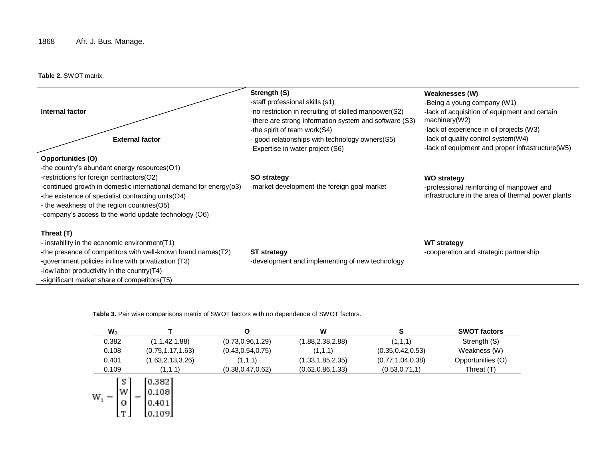**Table 2.** SWOT matrix.

| Internal factor<br><b>External factor</b>                                                                                                                                                                                                                                                                                                                   | Strength (S)<br>-staff professional skills (s1)<br>-no restriction in recruiting of skilled manpower(S2)<br>-there are strong information system and software (S3)<br>-the spirit of team work(S4)<br>- good relationships with technology owners (S5) | Weaknesses (W)<br>-Being a young company (W1)<br>-lack of acquisition of equipment and certain<br>machinery(W2)<br>-lack of experience in oil projects (W3)<br>-lack of quality control system (W4) |
|-------------------------------------------------------------------------------------------------------------------------------------------------------------------------------------------------------------------------------------------------------------------------------------------------------------------------------------------------------------|--------------------------------------------------------------------------------------------------------------------------------------------------------------------------------------------------------------------------------------------------------|-----------------------------------------------------------------------------------------------------------------------------------------------------------------------------------------------------|
|                                                                                                                                                                                                                                                                                                                                                             | -Expertise in water project (S6)                                                                                                                                                                                                                       | -lack of equipment and proper infrastructure(W5)                                                                                                                                                    |
| <b>Opportunities (O)</b><br>-the country's abundant energy resources (O1)<br>-restrictions for foreign contractors (O2)<br>-continued growth in domestic international demand for energy (03)<br>-the existence of specialist contracting units (O4)<br>- the weakness of the region countries(O5)<br>-company's access to the world update technology (O6) | SO strategy<br>-market development-the foreign goal market                                                                                                                                                                                             | <b>WO strategy</b><br>-professional reinforcing of manpower and<br>infrastructure in the area of thermal power plants                                                                               |
| Threat (T)<br>- instability in the economic environment (T1)<br>-the presence of competitors with well-known brand names (T2)<br>-government policies in line with privatization (T3)<br>-low labor productivity in the country $(T4)$<br>-significant market share of competitors(T5)                                                                      | <b>ST strategy</b><br>-development and implementing of new technology                                                                                                                                                                                  | <b>WT strategy</b><br>-cooperation and strategic partnership                                                                                                                                        |

|  |  | <b>Table 3.</b> Pair wise comparisons matrix of SWOT factors with no dependence of SWOT factors. |
|--|--|--------------------------------------------------------------------------------------------------|
|--|--|--------------------------------------------------------------------------------------------------|

| W,                            |                                         | O                  | W                  | s                  | <b>SWOT factors</b> |
|-------------------------------|-----------------------------------------|--------------------|--------------------|--------------------|---------------------|
| 0.382                         | (1, 1.42, 1.88)                         | (0.73, 0.96, 1.29) | (1.88, 2.38, 2.88) | (1,1,1)            | Strength (S)        |
| 0.108                         | (0.75, 1.17, 1.63)                      | (0.43, 0.54, 0.75) | (1,1,1)            | (0.35, 0.42, 0.53) | Weakness (W)        |
| 0.401                         | (1.63, 2.13, 3.26)                      | (1,1,1)            | (1.33, 1.85, 2.35) | (0.77, 1.04, 0.38) | Opportunities (O)   |
| 0.109                         | (1,1,1)                                 | (0.38, 0.47, 0.62) | (0.62, 0.86, 1.33) | (0.53, 0.71, 1)    | Threat (T)          |
| S<br>W<br>W.<br>=<br>O<br>L T | [0.382]<br>0.108<br>-<br>0.401<br>0.109 |                    |                    |                    |                     |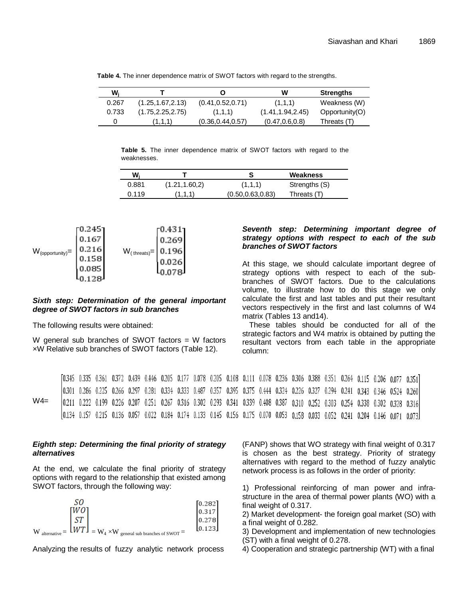| W,    |                    |                    | W                  | <b>Strengths</b> |
|-------|--------------------|--------------------|--------------------|------------------|
| 0.267 | (1.25, 1.67, 2.13) | (0.41, 0.52, 0.71) | (1,1,1)            | Weakness (W)     |
| 0.733 | (1.75, 2.25, 2.75) | (1,1,1)            | (1.41, 1.94, 2.45) | Opportunity(O)   |
|       | 1, 1, 1)           | (0.36, 0.44, 0.57) | (0.47, 0.6, 0.8)   | Threats (T)      |

**Table 4.** The inner dependence matrix of SWOT factors with regard to the strengths.

**Table 5.** The inner dependence matrix of SWOT factors with regard to the weaknesses.

| W.    |                 |                    | Weakness      |
|-------|-----------------|--------------------|---------------|
| 0.881 | (1.21, 1.60, 2) | (1,1,1)            | Strengths (S) |
| 0.119 | (1.1.1)         | (0.50, 0.63, 0.83) | Threats (T)   |

$$
W_{\text{(oppotunity)}} = \begin{bmatrix} 0.245 \\ 0.167 \\ 0.216 \\ 0.158 \\ 0.085 \\ 0.128 \end{bmatrix} W_{\text{(threads)}} = \begin{bmatrix} 0.431 \\ 0.269 \\ 0.196 \\ 0.026 \\ 0.078 \end{bmatrix}
$$

#### *Sixth step: Determination of the general important degree of SWOT factors in sub branches*

The following results were obtained:

W general sub branches of SWOT factors = W factors ×W Relative sub branches of SWOT factors (Table 12).

# *Seventh step: Determining important degree of strategy options with respect to each of the sub branches of SWOT factors*

At this stage, we should calculate important degree of strategy options with respect to each of the subbranches of SWOT factors. Due to the calculations volume, to illustrate how to do this stage we only calculate the first and last tables and put their resultant vectors respectively in the first and last columns of W4 matrix (Tables 13 and14).

These tables should be conducted for all of the strategic factors and W4 matrix is obtained by putting the resultant vectors from each table in the appropriate column:

|       |  |  |  |  |  |  |  |  |  |  | $[0.345 \quad 0.335 \quad 0.361 \quad 0.372 \quad 0.439 \quad 0.446 \quad 0.205 \quad 0.177 \quad 0.078 \quad 0.205 \quad 0.108 \quad 0.111 \quad 0.078 \quad 0.236 \quad 0.306 \quad 0.388 \quad 0.351 \quad 0.264 \quad 0.115 \quad 0.206 \quad 0.077 \quad 0.351]$ |
|-------|--|--|--|--|--|--|--|--|--|--|-----------------------------------------------------------------------------------------------------------------------------------------------------------------------------------------------------------------------------------------------------------------------|
|       |  |  |  |  |  |  |  |  |  |  | $\begin{bmatrix} 0.301 & 0.286 & 0.225 & 0.266 & 0.297 & 0.281 & 0.334 & 0.333 & 0.487 & 0.357 & 0.395 & 0.375 & 0.444 & 0.324 & 0.226 & 0.327 & 0.294 & 0.241 & 0.343 & 0.346 & 0.524 & 0.260 \end{bmatrix}$                                                         |
| $W4=$ |  |  |  |  |  |  |  |  |  |  | $\begin{bmatrix} 0.211 & 0.222 & 0.199 & 0.226 & 0.207 & 0.251 & 0.267 & 0.316 & 0.302 & 0.293 & 0.341 & 0.339 & 0.408 & 0.387 & 0.310 & 0.252 & 0.303 & 0.254 & 0.338 & 0.302 & 0.316 \end{bmatrix}$                                                                 |
|       |  |  |  |  |  |  |  |  |  |  | $\begin{bmatrix} 0.134 & 0.157 & 0.215 & 0.136 & 0.057 & 0.022 & 0.184 & 0.174 & 0.133 & 0.145 & 0.156 & 0.175 & 0.070 & 0.053 & 0.158 & 0.033 & 0.052 & 0.241 & 0.204 & 0.146 & 0.073 \end{bmatrix}$                                                                 |

#### *Eighth step: Determining the final priority of strategy alternatives*

At the end, we calculate the final priority of strategy options with regard to the relationship that existed among SWOT factors, through the following way:



Analyzing the results of fuzzy analytic network process

(FANP) shows that WO strategy with final weight of 0.317 is chosen as the best strategy. Priority of strategy alternatives with regard to the method of fuzzy analytic network process is as follows in the order of priority:

1) Professional reinforcing of man power and infrastructure in the area of thermal power plants (WO) with a final weight of 0.317.

2) Market development- the foreign goal market (SO) with a final weight of 0.282.

3) Development and implementation of new technologies (ST) with a final weight of 0.278.

4) Cooperation and strategic partnership (WT) with a final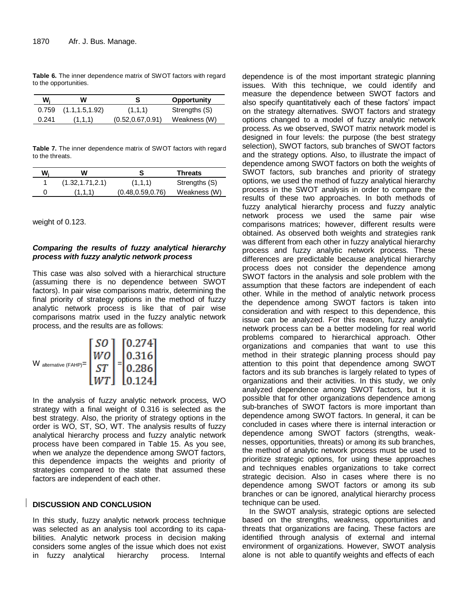**Table 6.** The inner dependence matrix of SWOT factors with regard to the opportunities.

| W,    | w                |                    | <b>Opportunity</b> |
|-------|------------------|--------------------|--------------------|
| 0.759 | (1.1, 1.5, 1.92) | (1,1,1)            | Strengths (S)      |
| 0.241 | (1,1,1)          | (0.52, 0.67, 0.91) | Weakness (W)       |

**Table 7.** The inner dependence matrix of SWOT factors with regard to the threats.

| w, | w                 |                    | Threats       |
|----|-------------------|--------------------|---------------|
|    | (1.32, 1.71, 2.1) | (1,1,1)            | Strengths (S) |
|    | (1.1.1)           | (0.48, 0.59, 0.76) | Weakness (W)  |

weight of 0.123.

#### *Comparing the results of fuzzy analytical hierarchy process with fuzzy analytic network process*

This case was also solved with a hierarchical structure (assuming there is no dependence between SWOT factors). In pair wise comparisons matrix, determining the final priority of strategy options in the method of fuzzy analytic network process is like that of pair wise comparisons matrix used in the fuzzy analytic network process, and the results are as follows:

|                                      | SO |  | 0.2741 |  |
|--------------------------------------|----|--|--------|--|
|                                      |    |  | 0.316] |  |
| W<br>alternative (FAHP) <sup>=</sup> |    |  | .2861  |  |
|                                      |    |  | -1241  |  |

In the analysis of fuzzy analytic network process, WO strategy with a final weight of 0.316 is selected as the best strategy. Also, the priority of strategy options in the order is WO, ST, SO, WT. The analysis results of fuzzy analytical hierarchy process and fuzzy analytic network process have been compared in Table 15. As you see, when we analyze the dependence among SWOT factors, this dependence impacts the weights and priority of strategies compared to the state that assumed these factors are independent of each other.

# **DISCUSSION AND CONCLUSION**

In this study, fuzzy analytic network process technique was selected as an analysis tool according to its capabilities. Analytic network process in decision making considers some angles of the issue which does not exist in fuzzy analytical hierarchy process. Internal dependence is of the most important strategic planning issues. With this technique, we could identify and measure the dependence between SWOT factors and also specify quantitatively each of these factors' impact on the strategy alternatives. SWOT factors and strategy options changed to a model of fuzzy analytic network process. As we observed, SWOT matrix network model is designed in four levels: the purpose (the best strategy selection), SWOT factors, sub branches of SWOT factors and the strategy options. Also, to illustrate the impact of dependence among SWOT factors on both the weights of SWOT factors, sub branches and priority of strategy options, we used the method of fuzzy analytical hierarchy process in the SWOT analysis in order to compare the results of these two approaches. In both methods of fuzzy analytical hierarchy process and fuzzy analytic network process we used the same pair wise comparisons matrices; however, different results were obtained. As observed both weights and strategies rank was different from each other in fuzzy analytical hierarchy process and fuzzy analytic network process. These differences are predictable because analytical hierarchy process does not consider the dependence among SWOT factors in the analysis and sole problem with the assumption that these factors are independent of each other. While in the method of analytic network process the dependence among SWOT factors is taken into consideration and with respect to this dependence, this issue can be analyzed. For this reason, fuzzy analytic network process can be a better modeling for real world problems compared to hierarchical approach. Other organizations and companies that want to use this method in their strategic planning process should pay attention to this point that dependence among SWOT factors and its sub branches is largely related to types of organizations and their activities. In this study, we only analyzed dependence among SWOT factors, but it is possible that for other organizations dependence among sub-branches of SWOT factors is more important than dependence among SWOT factors. In general, it can be concluded in cases where there is internal interaction or dependence among SWOT factors (strengths, weaknesses, opportunities, threats) or among its sub branches, the method of analytic network process must be used to prioritize strategic options, for using these approaches and techniques enables organizations to take correct strategic decision. Also in cases where there is no dependence among SWOT factors or among its sub branches or can be ignored, analytical hierarchy process technique can be used.

In the SWOT analysis, strategic options are selected based on the strengths, weakness, opportunities and threats that organizations are facing. These factors are identified through analysis of external and internal environment of organizations. However, SWOT analysis alone is not able to quantify weights and effects of each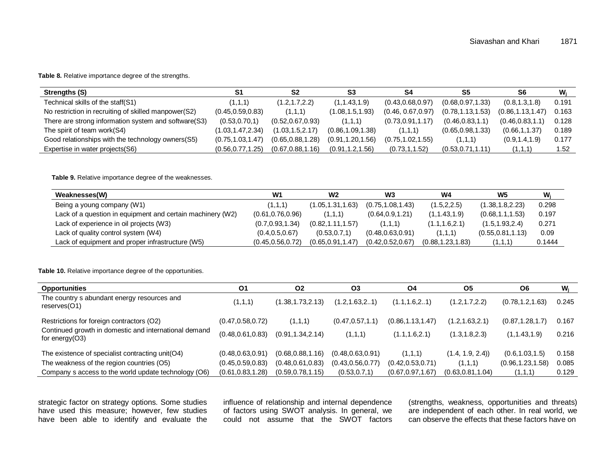**Table 8.** Relative importance degree of the strengths.

| Strengths (S)                                        | S1                 | S2                 | S3                 | S4                 | S5                 | S6                 | W     |
|------------------------------------------------------|--------------------|--------------------|--------------------|--------------------|--------------------|--------------------|-------|
| Technical skills of the staff(S1)                    | (1,1,1)            | (1.2, 1.7, 2.2)    | (1, 1.43, 1.9)     | (0.43, 0.68, 0.97) | (0.68, 0.97, 1.33) | (0.8, 1.3, 1.8)    | 0.191 |
| No restriction in recruiting of skilled manpower(S2) | (0.45, 0.59, 0.83) | (1,1,1)            | (1.08, 1.5, 1.93)  | (0.46, 0.67, 0.97) | (0.78, 1.13, 1.53) | (0.86, 1.13, 1.47) | 0.163 |
| There are strong information system and software(S3) | (0.53, 0.70, 1)    | (0.52, 0.67, 0.93) | (1,1,1)            | (0.73, 0.91, 1.17) | (0.46, 0.83, 1.1)  | (0.46, 0.83, 1.1)  | 0.128 |
| The spirit of team work(S4)                          | (1.03, 1.47, 2.34) | (1.03, 1.5, 2.17)  | (0.86, 1.09, 1.38) | (1,1,1)            | (0.65, 0.98, 1.33) | (0.66, 1, 1.37)    | 0.189 |
| Good relationships with the technology owners(S5)    | (0.75, 1.03, 1.47) | (0.65, 0.88, 1.28) | (0.91, 1.20, 1.56) | (0.75, 1.02, 1.55) | (1,1,1)            | (0.9, 1.4, 1.9)    | 0.177 |
| Expertise in water projects(S6)                      | (0.56, 0.77, 1.25) | (0.67, 0.88, 1.16) | (0.91, 1.2, 1.56)  | (0.73, 1, 1.52)    | (0.53, 0.71, 1.11) | (1,1,1)            | 1.52  |

**Table 9.** Relative importance degree of the weaknesses.

| Weaknesses(W)                                              | W <sub>1</sub>     | W2                 | W <sub>3</sub>     | W4                 | W <sub>5</sub>     | $W_i$  |
|------------------------------------------------------------|--------------------|--------------------|--------------------|--------------------|--------------------|--------|
| Being a young company (W1)                                 | (1,1,1)            | (1.05, 1.31, 1.63) | (0.75, 1.08, 1.43) | (1.5, 2.2.5)       | (1.38, 1.8, 2.23)  | 0.298  |
| Lack of a question in equipment and certain machinery (W2) | (0.61, 0.76, 0.96) | (1,1,1)            | (0.64, 0.9, 1.21)  | (1, 1.43, 1.9)     | (0.68, 1.1, 1.53)  | 0.197  |
| Lack of experience in oil projects (W3)                    | (0.7, 0.93, 1.34)  | (0.82, 1.11, 1.57) | (1,1,1)            | (1.1, 1.6, 2.1)    | (1.5, 1.93, 2.4)   | 0.271  |
| Lack of quality control system (W4)                        | (0.4, 0.5, 0.67)   | (0.53, 0.7, 1)     | (0.48, 0.63, 0.91) | (1,1,1)            | (0.55, 0.81, 1.13) | 0.09   |
| Lack of equipment and proper infrastructure (W5)           | (0.45, 0.56, 0.72) | (0.65, 0.91, 1.47) | (0.42, 0.52, 0.67) | (0.88, 1.23, 1.83) | (1,1,1)            | 0.1444 |

**Table 10.** Relative importance degree of the opportunities.

| <b>Opportunities</b>                                                       | O1                 | 02                 | <b>O3</b>          | O <sub>4</sub>     | O <sub>5</sub>     | O <sub>6</sub>     | W     |
|----------------------------------------------------------------------------|--------------------|--------------------|--------------------|--------------------|--------------------|--------------------|-------|
| The country s abundant energy resources and<br>reserves(O1)                | (1,1,1)            | (1.38, 1.73, 2.13) | (1.2, 1.63, 2.1)   | (1.1, 1.6, 2.1)    | (1.2, 1.7, 2.2)    | (0.78, 1.2, 1.63)  | 0.245 |
| Restrictions for foreign contractors (O2)                                  | (0.47, 0.58, 0.72) | (1,1,1)            | (0.47, 0.57, 1.1)  | (0.86, 1.13, 1.47) | (1.2, 1.63, 2.1)   | (0.87, 1.28, 1.7)  | 0.167 |
| Continued growth in domestic and international demand<br>for energy $(O3)$ | (0.48, 0.61, 0.83) | (0.91, 1.34, 2.14) | (1,1,1)            | (1.1, 1.6, 2.1)    | (1.3, 1.8, 2.3)    | (1, 1.43, 1.9)     | 0.216 |
| The existence of specialist contracting unit(O4)                           | (0.48, 0.63, 0.91) | (0.68, 0.88, 1.16) | (0.48, 0.63, 0.91) | (1,1,1)            | (1.4, 1.9, 2.4)    | (0.6, 1.03, 1.5)   | 0.158 |
| The weakness of the region countries (O5)                                  | (0.45, 0.59, 0.83) | (0.48, 0.61, 0.83) | (0.43, 0.56, 0.77) | (0.42, 0.53, 0.71) | (1,1,1)            | (0.96, 1.23, 1.58) | 0.085 |
| Company s access to the world update technology (O6)                       | (0.61, 0.83, 1.28) | (0.59, 0.78, 1.15) | (0.53, 0.7, 1)     | (0.67, 0.97, 1.67) | (0.63, 0.81, 1.04) | (1,1,1)            | 0.129 |

strategic factor on strategy options. Some studies have used this measure; however, few studies have been able to identify and evaluate the

influence of relationship and internal dependence of factors using SWOT analysis. In general, we could not assume that the SWOT factors

(strengths, weakness, opportunities and threats) are independent of each other. In real world, we can observe the effects that these factors have on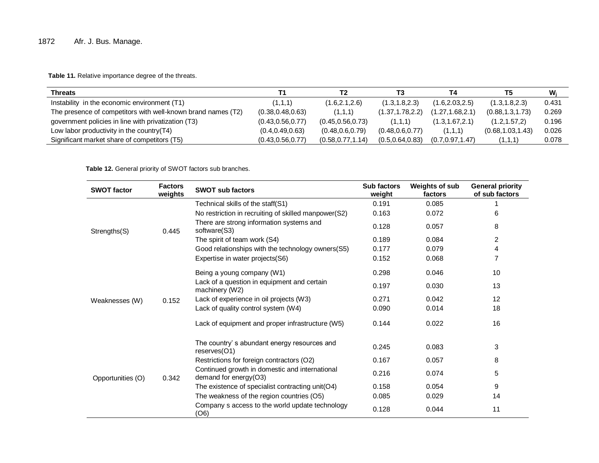**Table 11.** Relative importance degree of the threats.

| <b>Threats</b>                                               |                    | Т2                 | Τ3                | Τ4                | T5                 | W,    |
|--------------------------------------------------------------|--------------------|--------------------|-------------------|-------------------|--------------------|-------|
| Instability in the economic environment (T1)                 | (1,1,1)            | (1.6, 2.1, 2.6)    | (1.3, 1.8, 2.3)   | (1.6, 2.03, 2.5)  | (1.3, 1.8, 2.3)    | 0.431 |
| The presence of competitors with well-known brand names (T2) | (0.38, 0.48, 0.63) | (1,1,1)            | (1.37, 1.78, 2.2) | (1.27, 1.68, 2.1) | (0.88, 1.3, 1.73)  | 0.269 |
| government policies in line with privatization (T3)          | (0.43, 0.56, 0.77) | (0.45, 0.56, 0.73) | (1,1,1)           | (1.3, 1.67, 2.1)  | (1.2, 1.57, 2)     | 0.196 |
| Low labor productivity in the country (T4)                   | (0.4.0.49.0.63)    | (0.48, 0.6, 0.79)  | (0.48, 0.6, 0.77) | (1,1,1)           | (0.68, 1.03, 1.43) | 0.026 |
| Significant market share of competitors (T5)                 | (0.43, 0.56, 0.77) | (0.58, 0.77, 1.14) | (0.5, 0.64, 0.83) | (0.7, 0.97, 1.47) | (1,1,1)            | 0.078 |

# **Table 12.** General priority of SWOT factors sub branches.

| <b>SWOT factor</b> | <b>Factors</b><br>weights | <b>SWOT sub factors</b>                                                 | Sub factors<br>weight | <b>Weights of sub</b><br>factors | <b>General priority</b><br>of sub factors |
|--------------------|---------------------------|-------------------------------------------------------------------------|-----------------------|----------------------------------|-------------------------------------------|
|                    |                           | Technical skills of the staff(S1)                                       | 0.191                 | 0.085                            |                                           |
|                    |                           | No restriction in recruiting of skilled manpower(S2)                    | 0.163                 | 0.072                            | 6                                         |
| Strengths(S)       | 0.445                     | There are strong information systems and<br>software(S3)                | 0.128                 | 0.057                            | 8                                         |
|                    |                           | The spirit of team work (S4)                                            | 0.189                 | 0.084                            | $\overline{2}$                            |
|                    |                           | Good relationships with the technology owners(S5)                       | 0.177                 | 0.079                            | 4                                         |
|                    |                           | Expertise in water projects(S6)                                         | 0.152                 | 0.068                            | 7                                         |
|                    |                           | Being a young company (W1)                                              | 0.298                 | 0.046                            | 10                                        |
|                    | 0.152                     | Lack of a question in equipment and certain<br>machinery (W2)           | 0.197                 | 0.030                            | 13                                        |
| Weaknesses (W)     |                           | Lack of experience in oil projects (W3)                                 | 0.271                 | 0.042                            | $12 \overline{ }$                         |
|                    |                           | Lack of quality control system (W4)                                     | 0.090                 | 0.014                            | 18                                        |
|                    |                           | Lack of equipment and proper infrastructure (W5)                        | 0.144                 | 0.022                            | 16                                        |
|                    |                           | The country's abundant energy resources and<br>reserves(O1)             | 0.245                 | 0.083                            | 3                                         |
|                    |                           | Restrictions for foreign contractors (O2)                               | 0.167                 | 0.057                            | 8                                         |
| Opportunities (O)  | 0.342                     | Continued growth in domestic and international<br>demand for energy(O3) | 0.216                 | 0.074                            | 5                                         |
|                    |                           | The existence of specialist contracting unit(O4)                        | 0.158                 | 0.054                            | 9                                         |
|                    |                           | The weakness of the region countries (O5)                               | 0.085                 | 0.029                            | 14                                        |
|                    |                           | Company s access to the world update technology<br>(O6)                 | 0.128                 | 0.044                            | 11                                        |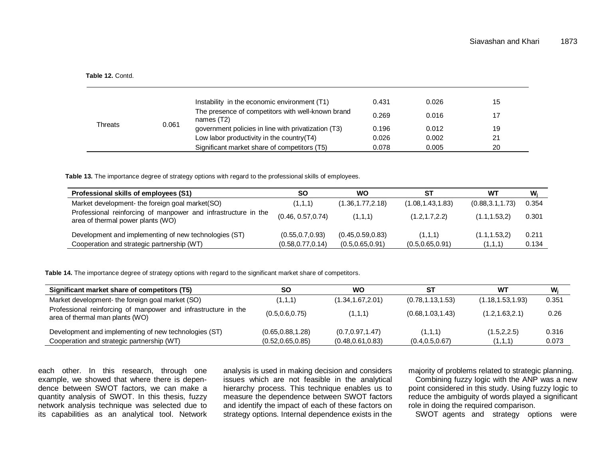#### **Table 12.** Contd.

|         |       | Instability in the economic environment (T1)                    | 0.431 | 0.026 | 15 |
|---------|-------|-----------------------------------------------------------------|-------|-------|----|
| Threats |       | The presence of competitors with well-known brand<br>names (T2) | 0.269 | 0.016 |    |
|         | 0.061 | government policies in line with privatization (T3)             | 0.196 | 0.012 | 19 |
|         |       | Low labor productivity in the country(T4)                       | 0.026 | 0.002 | 21 |
|         |       | Significant market share of competitors (T5)                    | 0.078 | 0.005 | 20 |

**Table 13.** The importance degree of strategy options with regard to the professional skills of employees.

| Professional skills of employees (S1)                                                               | SΟ                                      | <b>WO</b>                               | SТ                           | WT                        | W,             |
|-----------------------------------------------------------------------------------------------------|-----------------------------------------|-----------------------------------------|------------------------------|---------------------------|----------------|
| Market development- the foreign goal market(SO)                                                     | (1,1,1)                                 | (1.36, 1.77, 2.18)                      | (1.08, 1.43, 1.83)           | (0.88, 3.1, 1.73)         | 0.354          |
| Professional reinforcing of manpower and infrastructure in the<br>area of thermal power plants (WO) | (0.46, 0.57, 0.74)                      | (1,1,1)                                 | (1.2, 1.7, 2.2)              | (1.1, 1.53, 2)            | 0.301          |
| Development and implementing of new technologies (ST)<br>Cooperation and strategic partnership (WT) | (0.55, 0.7, 0.93)<br>(0.58, 0.77, 0.14) | (0.45, 0.59, 0.83)<br>(0.5, 0.65, 0.91) | (1,1,1)<br>(0.5, 0.65, 0.91) | (1.1, 1.53, 2)<br>(1,1,1) | 0.211<br>0.134 |

**Table 14.** The importance degree of strategy options with regard to the significant market share of competitors.

| Significant market share of competitors (T5)                                                        | SΟ                                       | <b>WO</b>                               | SТ                          | WТ                       | W,             |
|-----------------------------------------------------------------------------------------------------|------------------------------------------|-----------------------------------------|-----------------------------|--------------------------|----------------|
| Market development- the foreign goal market (SO)                                                    | (1,1,1)                                  | (1.34, 1.67, 2.01)                      | (0.78, 1.13, 1.53)          | (1.18, 1.53, 1.93)       | 0.351          |
| Professional reinforcing of manpower and infrastructure in the<br>area of thermal man plants (WO)   | (0.5, 0.6, 0.75)                         | (1,1,1)                                 | (0.68, 1.03, 1.43)          | (1.2, 1.63, 2.1)         | 0.26           |
| Development and implementing of new technologies (ST)<br>Cooperation and strategic partnership (WT) | (0.65, 0.88, 1.28)<br>(0.52, 0.65, 0.85) | (0.7, 0.97, 1.47)<br>(0.48, 0.61, 0.83) | (1,1,1)<br>(0.4, 0.5, 0.67) | (1.5, 2, 2.5)<br>(1,1,1) | 0.316<br>0.073 |

each other. In this research, through one example, we showed that where there is dependence between SWOT factors, we can make a quantity analysis of SWOT. In this thesis, fuzzy network analysis technique was selected due to its capabilities as an analytical tool. Network

analysis is used in making decision and considers issues which are not feasible in the analytical hierarchy process. This technique enables us to measure the dependence between SWOT factors and identify the impact of each of these factors on strategy options. Internal dependence exists in the majority of problems related to strategic planning.

Combining fuzzy logic with the ANP was a new point considered in this study. Using fuzzy logic to reduce the ambiguity of words played a significant role in doing the required comparison.

SWOT agents and strategy options were